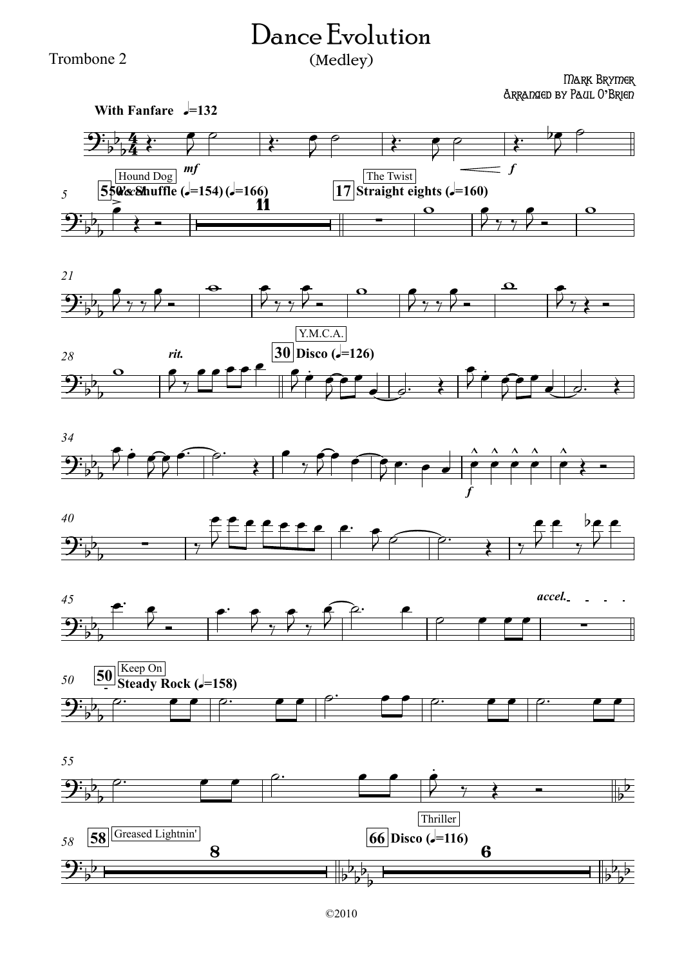## Dance Evolution (Medley)

Trombone 2

## Mark Brymer Arranged by Paul O**'**Brien













*55* 58 **58 66 Disco (q**=116)  $9:$  p  $^{\circ}$  $\partial_1$   $\rho$ . b b and b  $\begin{array}{|c|c|c|c|c|c|}\hline \rule{0pt}{1ex}\rule{0pt}{1ex}\rule{0pt}{1ex}\rule{0pt}{1ex}\rule{0pt}{1ex}\rule{0pt}{1ex}\rule{0pt}{1ex}\rule{0pt}{1ex}\rule{0pt}{1ex}\rule{0pt}{1ex}\rule{0pt}{1ex}\rule{0pt}{1ex}\rule{0pt}{1ex}\rule{0pt}{1ex}\rule{0pt}{1ex}\rule{0pt}{1ex}\rule{0pt}{1ex}\rule{0pt}{1ex}\rule{0pt}{1ex}\rule{0pt}{1ex}\rule{0pt}{1ex}\rule{0pt}{1ex}\rule{0pt}{1ex}\rule{0pt$  $\frac{\sqrt{12}}{10}$  $9\frac{1}{2}$  $\overline{\phantom{0}}$ 8  $\frac{b}{b}$   $\frac{b}{b}$   $\frac{1}{b}$  $2\overline{b}$  $b^b$  $\overline{b}$  $\overline{\phantom{a}}$ 6  $\frac{p}{2}$  $\frac{1}{2}$  $\frac{1}{2}$  $\overline{E}$ Thriller Thriller Thriller **∞∴ e e** |<sup>o</sup>  $\dot{\theta}$   $\gamma$   $\dot{\epsilon}$   $=$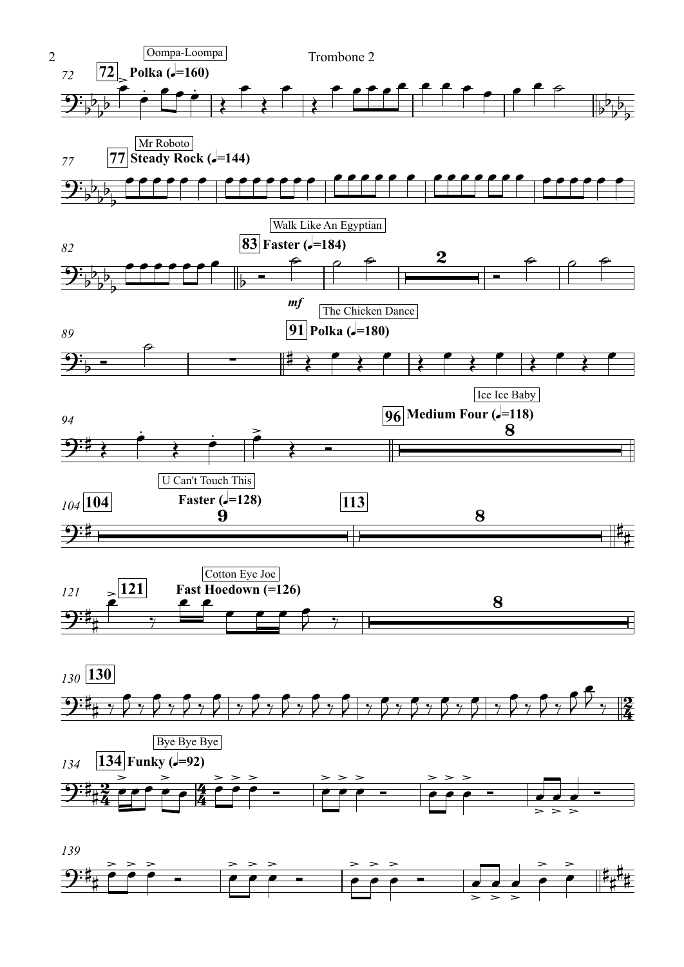